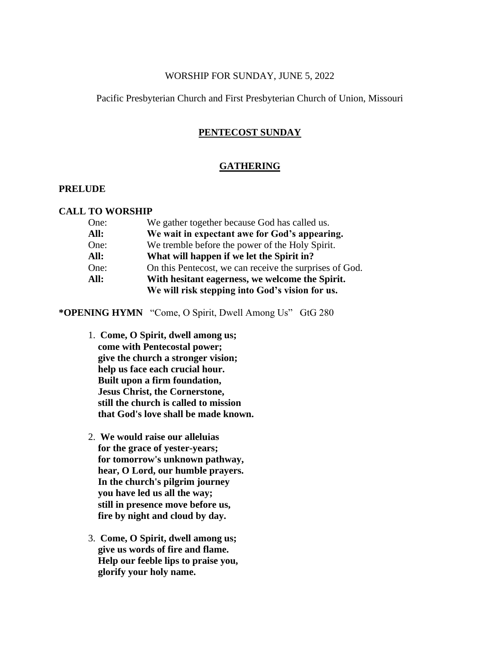## WORSHIP FOR SUNDAY, JUNE 5, 2022

### Pacific Presbyterian Church and First Presbyterian Church of Union, Missouri

# **PENTECOST SUNDAY**

## **GATHERING**

# **PRELUDE**

### **CALL TO WORSHIP**

| One: | We gather together because God has called us.           |
|------|---------------------------------------------------------|
| All: | We wait in expectant awe for God's appearing.           |
| One: | We tremble before the power of the Holy Spirit.         |
| All: | What will happen if we let the Spirit in?               |
| One: | On this Pentecost, we can receive the surprises of God. |
| All: | With hesitant eagerness, we welcome the Spirit.         |
|      | We will risk stepping into God's vision for us.         |

**\*OPENING HYMN** "Come, O Spirit, Dwell Among Us" GtG 280

- 1. **Come, O Spirit, dwell among us; come with Pentecostal power; give the church a stronger vision; help us face each crucial hour. Built upon a firm foundation, Jesus Christ, the Cornerstone, still the church is called to mission that God's love shall be made known.**
- 2. **We would raise our alleluias for the grace of yester-years; for tomorrow's unknown pathway, hear, O Lord, our humble prayers. In the church's pilgrim journey you have led us all the way; still in presence move before us, fire by night and cloud by day.**
- 3. **Come, O Spirit, dwell among us; give us words of fire and flame. Help our feeble lips to praise you, glorify your holy name.**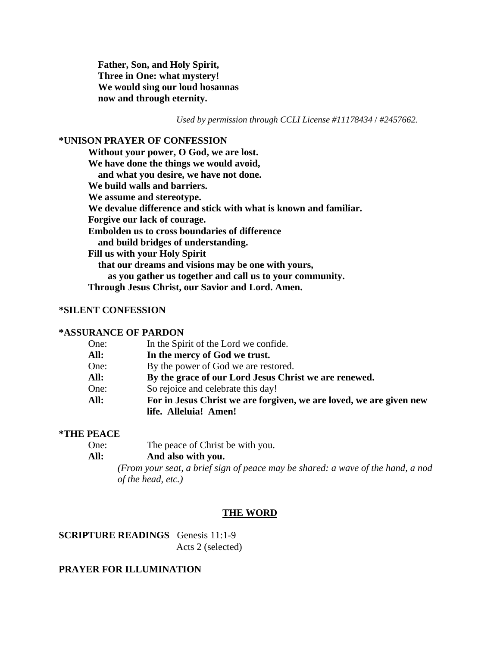**Father, Son, and Holy Spirit, Three in One: what mystery! We would sing our loud hosannas now and through eternity.**

*Used by permission through CCLI License #11178434* / *#2457662.*

# **\*UNISON PRAYER OF CONFESSION**

**Without your power, O God, we are lost. We have done the things we would avoid, and what you desire, we have not done. We build walls and barriers. We assume and stereotype. We devalue difference and stick with what is known and familiar. Forgive our lack of courage. Embolden us to cross boundaries of difference and build bridges of understanding. Fill us with your Holy Spirit that our dreams and visions may be one with yours, as you gather us together and call us to your community. Through Jesus Christ, our Savior and Lord. Amen.**

# **\*SILENT CONFESSION**

#### **\*ASSURANCE OF PARDON**

| One: | In the Spirit of the Lord we confide.                               |
|------|---------------------------------------------------------------------|
| All: | In the mercy of God we trust.                                       |
| One: | By the power of God we are restored.                                |
| All: | By the grace of our Lord Jesus Christ we are renewed.               |
| One: | So rejoice and celebrate this day!                                  |
| All: | For in Jesus Christ we are forgiven, we are loved, we are given new |
|      | life. Alleluia! Amen!                                               |

#### **\*THE PEACE**

One: The peace of Christ be with you.

# **All: And also with you.**

*(From your seat, a brief sign of peace may be shared: a wave of the hand, a nod of the head, etc.)*

### **THE WORD**

# **SCRIPTURE READINGS** Genesis 11:1-9 Acts 2 (selected)

# **PRAYER FOR ILLUMINATION**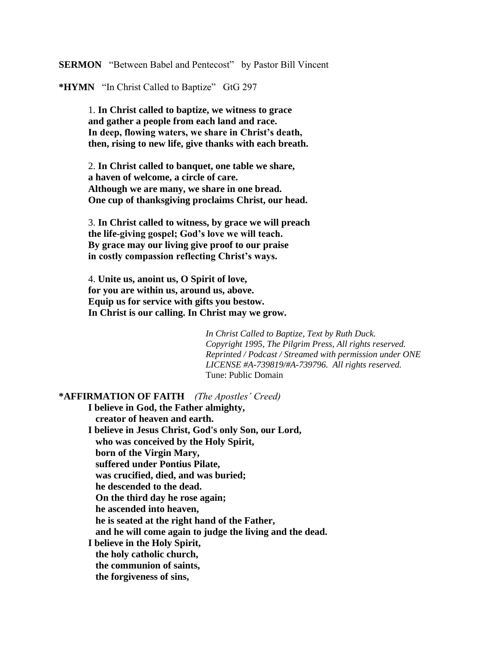**SERMON** "Between Babel and Pentecost" by Pastor Bill Vincent

**\*HYMN** "In Christ Called to Baptize" GtG 297

1. **In Christ called to baptize, we witness to grace and gather a people from each land and race. In deep, flowing waters, we share in Christ's death, then, rising to new life, give thanks with each breath.**

2. **In Christ called to banquet, one table we share, a haven of welcome, a circle of care. Although we are many, we share in one bread. One cup of thanksgiving proclaims Christ, our head.**

3. **In Christ called to witness, by grace we will preach the life-giving gospel; God's love we will teach. By grace may our living give proof to our praise in costly compassion reflecting Christ's ways.**

4. **Unite us, anoint us, O Spirit of love, for you are within us, around us, above. Equip us for service with gifts you bestow. In Christ is our calling. In Christ may we grow.**

> *In Christ Called to Baptize, Text by Ruth Duck. Copyright 1995, The Pilgrim Press, All rights reserved. Reprinted / Podcast / Streamed with permission under ONE LICENSE #A-739819/#A-739796. All rights reserved.* Tune: Public Domain

### **\*AFFIRMATION OF FAITH** *(The Apostles' Creed)*

**I believe in God, the Father almighty, creator of heaven and earth. I believe in Jesus Christ, God's only Son, our Lord, who was conceived by the Holy Spirit, born of the Virgin Mary, suffered under Pontius Pilate, was crucified, died, and was buried; he descended to the dead. On the third day he rose again; he ascended into heaven, he is seated at the right hand of the Father, and he will come again to judge the living and the dead. I believe in the Holy Spirit, the holy catholic church, the communion of saints, the forgiveness of sins,**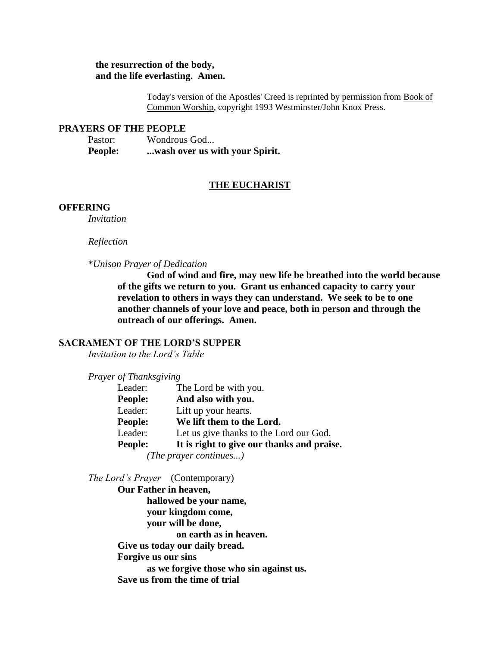# **the resurrection of the body, and the life everlasting. Amen.**

Today's version of the Apostles' Creed is reprinted by permission from Book of Common Worship, copyright 1993 Westminster/John Knox Press.

## **PRAYERS OF THE PEOPLE**

Pastor: Wondrous God... **People: ...wash over us with your Spirit.**

#### **THE EUCHARIST**

#### **OFFERING**

*Invitation*

#### *Reflection*

#### \**Unison Prayer of Dedication*

**God of wind and fire, may new life be breathed into the world because of the gifts we return to you. Grant us enhanced capacity to carry your revelation to others in ways they can understand. We seek to be to one another channels of your love and peace, both in person and through the outreach of our offerings. Amen.**

# **SACRAMENT OF THE LORD'S SUPPER**

*Invitation to the Lord's Table*

| Prayer of Thanksgiving |                                            |
|------------------------|--------------------------------------------|
| Leader:                | The Lord be with you.                      |
| <b>People:</b>         | And also with you.                         |
| Leader:                | Lift up your hearts.                       |
| <b>People:</b>         | We lift them to the Lord.                  |
| Leader:                | Let us give thanks to the Lord our God.    |
| People:                | It is right to give our thanks and praise. |
|                        | (The prayer continues)                     |

*The Lord's Prayer* (Contemporary)

**Our Father in heaven, hallowed be your name, your kingdom come, your will be done, on earth as in heaven. Give us today our daily bread. Forgive us our sins as we forgive those who sin against us. Save us from the time of trial**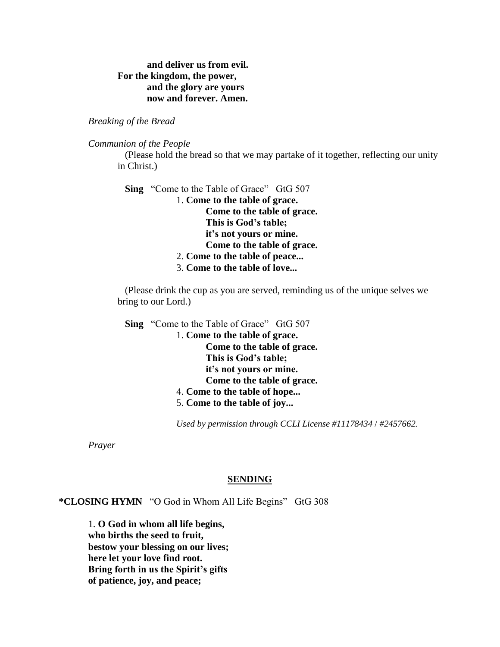**and deliver us from evil. For the kingdom, the power, and the glory are yours now and forever. Amen.**

*Breaking of the Bread*

*Communion of the People*

 (Please hold the bread so that we may partake of it together, reflecting our unity in Christ.)

**Sing** "Come to the Table of Grace" GtG 507

1. **Come to the table of grace. Come to the table of grace. This is God's table; it's not yours or mine. Come to the table of grace.**

- 2. **Come to the table of peace...**
- 3. **Come to the table of love...**

 (Please drink the cup as you are served, reminding us of the unique selves we bring to our Lord.)

 **Sing** "Come to the Table of Grace" GtG 507 1. **Come to the table of grace. Come to the table of grace. This is God's table; it's not yours or mine. Come to the table of grace.** 4. **Come to the table of hope...** 5. **Come to the table of joy...**

*Used by permission through CCLI License #11178434* / *#2457662.*

*Prayer*

#### **SENDING**

**\*CLOSING HYMN** "O God in Whom All Life Begins" GtG 308

1. **O God in whom all life begins, who births the seed to fruit, bestow your blessing on our lives; here let your love find root. Bring forth in us the Spirit's gifts of patience, joy, and peace;**